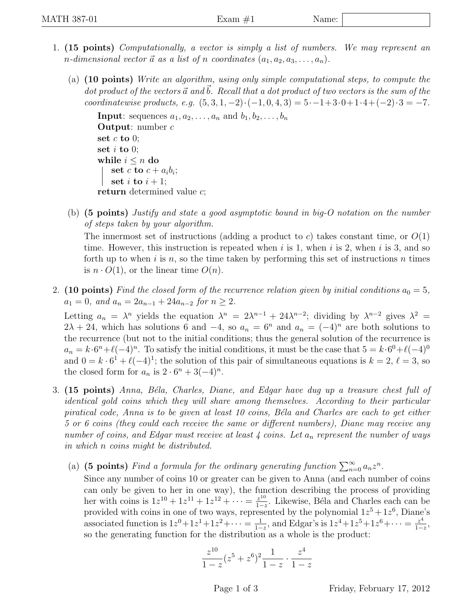- 1. (15 points) Computationally, a vector is simply a list of numbers. We may represent an *n*-dimensional vector  $\vec{a}$  as a list of n coordinates  $(a_1, a_2, a_3, \ldots, a_n)$ .
	- (a) (10 points) Write an algorithm, using only simple computational steps, to compute the dot product of the vectors  $\vec{a}$  and  $\vec{b}$ . Recall that a dot product of two vectors is the sum of the coordinatewise products, e.g.  $(5, 3, 1, -2) \cdot (-1, 0, 4, 3) = 5 \cdot -1 + 3 \cdot 0 + 1 \cdot 4 + (-2) \cdot 3 = -7$ .

**Input:** sequences  $a_1, a_2, \ldots, a_n$  and  $b_1, b_2, \ldots, b_n$ **Output:** number  $c$ set  $c$  to  $0$ ; set  $i$  to 0; while  $i \leq n$  do set c to  $c + a_i b_i;$ set i to  $i + 1$ ; return determined value c;

(b) (5 points) Justify and state a good asymptotic bound in big-O notation on the number of steps taken by your algorithm.

The innermost set of instructions (adding a product to c) takes constant time, or  $O(1)$ time. However, this instruction is repeated when  $i$  is 1, when  $i$  is 2, when  $i$  is 3, and so forth up to when i is n, so the time taken by performing this set of instructions n times is  $n \cdot O(1)$ , or the linear time  $O(n)$ .

2. (10 points) Find the closed form of the recurrence relation given by initial conditions  $a_0 = 5$ ,  $a_1 = 0$ , and  $a_n = 2a_{n-1} + 24a_{n-2}$  for  $n \ge 2$ .

Letting  $a_n = \lambda^n$  yields the equation  $\lambda^n = 2\lambda^{n-1} + 24\lambda^{n-2}$ ; dividing by  $\lambda^{n-2}$  gives  $\lambda^2 =$  $2\lambda + 24$ , which has solutions 6 and  $-4$ , so  $a_n = 6^n$  and  $a_n = (-4)^n$  are both solutions to the recurrence (but not to the initial conditions; thus the general solution of the recurrence is  $a_n = k \cdot 6^n + \ell(-4)^n$ . To satisfy the initial conditions, it must be the case that  $5 = k \cdot 6^0 + \ell(-4)^0$ and  $0 = k \cdot 6^1 + \ell(-4)^1$ ; the solution of this pair of simultaneous equations is  $k = 2, \ell = 3$ , so the closed form for  $a_n$  is  $2 \cdot 6^n + 3(-4)^n$ .

- 3. (15 points) Anna, Béla, Charles, Diane, and Edgar have dug up a treasure chest full of identical gold coins which they will share among themselves. According to their particular piratical code, Anna is to be given at least 10 coins, Béla and Charles are each to get either 5 or 6 coins (they could each receive the same or different numbers), Diane may receive any number of coins, and Edgar must receive at least  $\lambda$  coins. Let  $a_n$  represent the number of ways in which n coins might be distributed.
	- (a) (5 points) Find a formula for the ordinary generating function  $\sum_{n=0}^{\infty} a_n z^n$ .

Since any number of coins 10 or greater can be given to Anna (and each number of coins can only be given to her in one way), the function describing the process of providing her with coins is  $1z^{10} + 1z^{11} + 1z^{12} + \cdots = \frac{z^{10}}{1-z}$  $\frac{z^{10}}{1-z}$ . Likewise, Béla and Charles each can be provided with coins in one of two ways, represented by the polynomial  $1z^5 + 1z^6$ , Diane's associated function is  $1z^0+1z^1+1z^2+\cdots=\frac{1}{1-z}$  $\frac{1}{1-z}$ , and Edgar's is  $1z^4+1z^5+1z^6+\cdots=\frac{z^4}{1-z^4}$  $\frac{z^4}{1-z}$ , so the generating function for the distribution as a whole is the product:

$$
\frac{z^{10}}{1-z}(z^5+z^6)^2\frac{1}{1-z}\cdot\frac{z^4}{1-z}
$$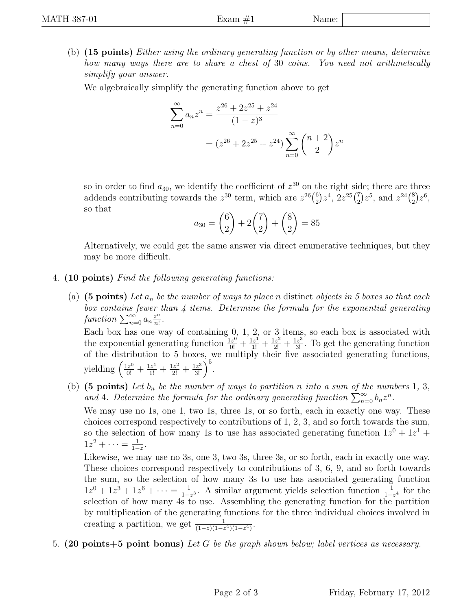(b)  $(15 \text{ points})$  Either using the ordinary generating function or by other means, determine how many ways there are to share a chest of 30 coins. You need not arithmetically simplify your answer.

We algebraically simplify the generating function above to get

$$
\sum_{n=0}^{\infty} a_n z^n = \frac{z^{26} + 2z^{25} + z^{24}}{(1-z)^3}
$$

$$
= (z^{26} + 2z^{25} + z^{24}) \sum_{n=0}^{\infty} {n+2 \choose 2} z^n
$$

so in order to find  $a_{30}$ , we identify the coefficient of  $z^{30}$  on the right side; there are three addends contributing towards the  $z^{30}$  term, which are  $z^{26}$  $\binom{6}{2}z^4$ ,  $2z^{25}\binom{7}{2}$  $(z^2)z^5$ , and  $z^{24}\binom{8}{2}$  $_{2}^{8})z^{6},$ so that

$$
a_{30} = \binom{6}{2} + 2\binom{7}{2} + \binom{8}{2} = 85
$$

Alternatively, we could get the same answer via direct enumerative techniques, but they may be more difficult.

- 4. (10 points) Find the following generating functions:
	- (a) (5 points) Let  $a_n$  be the number of ways to place n distinct objects in 5 boxes so that each box contains fewer than 4 items. Determine the formula for the exponential generating function  $\sum_{n=0}^{\infty} a_n \frac{z^n}{n!}$  $\frac{z^n}{n!}$  .

Each box has one way of containing 0, 1, 2, or 3 items, so each box is associated with the exponential generating function  $\frac{1z^0}{0!} + \frac{1z^1}{1!} + \frac{1z^2}{2!} + \frac{1z^3}{3!}$ . To get the generating function of the distribution to 5 boxes, we multiply their five associated generating functions, yielding  $\left(\frac{1z^0}{0!} + \frac{1z^1}{1!} + \frac{1z^2}{2!} + \frac{1z^3}{3!}\right)^5$ .

(b) (5 points) Let  $b_n$  be the number of ways to partition n into a sum of the numbers 1, 3, and 4. Determine the formula for the ordinary generating function  $\sum_{n=0}^{\infty} b_n z^n$ .

We may use no 1s, one 1, two 1s, three 1s, or so forth, each in exactly one way. These choices correspond respectively to contributions of 1, 2, 3, and so forth towards the sum, so the selection of how many 1s to use has associated generating function  $1z^0 + 1z^1 +$  $1z^2 + \cdots = \frac{1}{1-z}$  $\frac{1}{1-z}$ .

Likewise, we may use no 3s, one 3, two 3s, three 3s, or so forth, each in exactly one way. These choices correspond respectively to contributions of 3, 6, 9, and so forth towards the sum, so the selection of how many 3s to use has associated generating function  $1z^0 + 1z^3 + 1z^6 + \cdots = \frac{1}{1-z}$  $\frac{1}{1-z^3}$ . A similar argument yields selection function  $\frac{1}{1-z^4}$  for the selection of how many 4s to use. Assembling the generating function for the partition by multiplication of the generating functions for the three individual choices involved in creating a partition, we get  $\frac{1}{(1-z)(1-z^4)(1-z^4)}$ .

5. (20 points+5 point bonus) Let G be the graph shown below; label vertices as necessary.